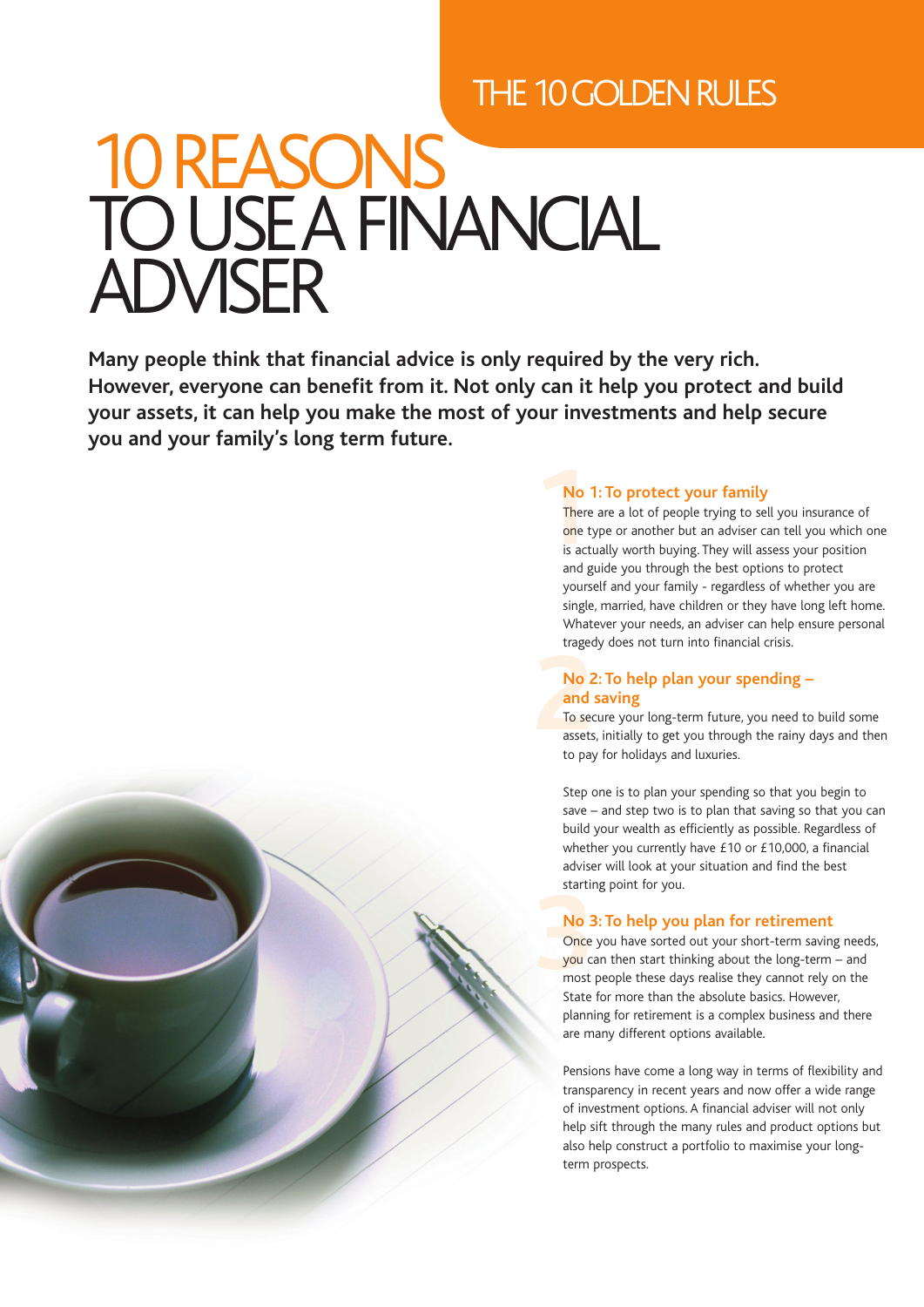# THE 10 GOLDEN RULES

# 10REASONS TO USEA FINANCIAL ADVISER

**Many people think that financial advice is only required by the very rich. However, everyone can benefit from it. Not only can it help you protect and build your assets, it can help you make the most of your investments and help secure you and your family's long term future.**

# **No 1: To protect your family**

**1** There are a lot of people trying to sell you insurance of one type or another but an adviser can tell you which one is actually worth buying. They will assess your position and guide you through the best options to protect yourself and your family - regardless of whether you are single, married, have children or they have long left home. Whatever your needs, an adviser can help ensure personal tragedy does not turn into financial crisis.

## **No 2: To help plan your spending – and saving**

**2** To secure your long-term future, you need to build some assets, initially to get you through the rainy days and then to pay for holidays and luxuries.

Step one is to plan your spending so that you begin to save – and step two is to plan that saving so that you can build your wealth as efficiently as possible. Regardless of whether you currently have £10 or £10,000, a financial adviser will look at your situation and find the best starting point for you.

# **No 3: To help you plan for retirement**

Once you have sorted out your short-term saving needs, you can then start thinking about the long-term – and most people these days realise they cannot rely on the State for more than the absolute basics. However, planning for retirement is a complex business and there are many different options available.

Pensions have come a long way in terms of flexibility and transparency in recent years and now offer a wide range of investment options. A financial adviser will not only help sift through the many rules and product options but also help construct a portfolio to maximise your longterm prospects.